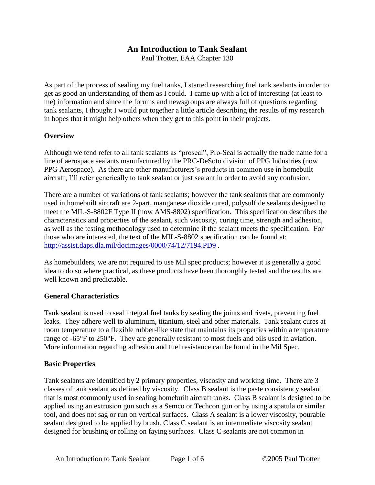# **An Introduction to Tank Sealant**

Paul Trotter, EAA Chapter 130

As part of the process of sealing my fuel tanks, I started researching fuel tank sealants in order to get as good an understanding of them as I could. I came up with a lot of interesting (at least to me) information and since the forums and newsgroups are always full of questions regarding tank sealants, I thought I would put together a little article describing the results of my research in hopes that it might help others when they get to this point in their projects.

### **Overview**

Although we tend refer to all tank sealants as "proseal", Pro-Seal is actually the trade name for a line of aerospace sealants manufactured by the PRC-DeSoto division of PPG Industries (now PPG Aerospace). As there are other manufacturers's products in commonuse in homebuilt aircraft, I'll refer generically to tank sealant or just sealant in order to avoid any confusion.

There are a number of variations of tank sealants; however the tank sealants that are commonly used in homebuilt aircraft are 2-part, manganese dioxide cured, polysulfide sealants designed to meet the MIL-S-8802F Type II (now AMS-8802) specification. This specification describes the characteristics and properties of the sealant, such viscosity, curing time, strength and adhesion, as well as the testing methodology used to determine if the sealant meets the specification. For those who are interested, the text of the MIL-S-8802 specification can be found at: http://assist.daps.dla.mil/docimages/0000/74/12/7194.PD9 .

As homebuilders, we are not required to use Mil spec products; however it is generally a good idea to do so where practical, as these products have been thoroughly tested and the results are well known and predictable.

### **General Characteristics**

Tank sealant is used to seal integral fuel tanks by sealing the joints and rivets, preventing fuel leaks. They adhere well to aluminum, titanium, steel and other materials. Tank sealant cures at room temperature to a flexible rubber-like state that maintains its properties within a temperature range of -65°F to 250°F. They are generally resistant to most fuels and oils used in aviation. More information regarding adhesion and fuel resistance can be found in the Mil Spec.

### **Basic Properties**

Tank sealants are identified by 2 primary properties, viscosity and working time. There are 3 classes of tank sealant as defined by viscosity. Class B sealant is the paste consistency sealant that is most commonly used in sealing homebuilt aircraft tanks. Class B sealant is designed to be applied using an extrusion gun such as a Semco or Techcon gun or by using a spatula or similar tool, and does not sag or run on vertical surfaces. Class A sealant is a lower viscosity, pourable sealant designed to be applied by brush. Class C sealant is an intermediate viscosity sealant designed for brushing or rolling on faying surfaces. Class C sealants are not common in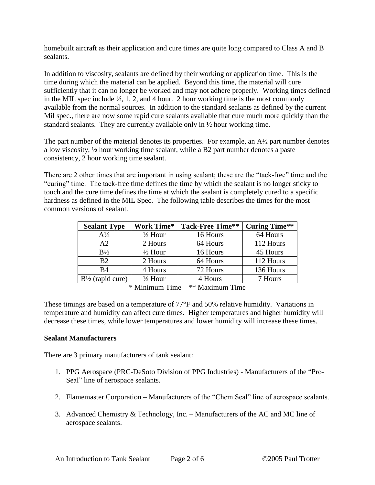homebuilt aircraft as their application and cure times are quite long compared to Class A and B sealants.

In addition to viscosity, sealants are defined by their working or application time. This is the time during which the material can be applied. Beyond this time, the material will cure sufficiently that it can no longer be worked and may not adhere properly. Working times defined in the MIL spec include  $\frac{1}{2}$ , 1, 2, and 4 hour. 2 hour working time is the most commonly available from the normal sources. In addition to the standard sealants as defined by the current Mil spec., there are now some rapid cure sealants available that cure much more quickly than the standard sealants. They are currently available only in ½ hour working time.

The part number of the material denotes its properties. For example, an A<sup>1/2</sup> part number denotes a low viscosity, ½ hour working time sealant, while a B2 part number denotes a paste consistency, 2 hour working time sealant.

There are 2 other times that are important in using sealant; these are the "tack-free" time and the "curing" time. The tack-free time defines the time by which the sealant is no longer sticky to touch and the cure time defines the time at which the sealant is completely cured to a specific hardness as defined in the MIL Spec. The following table describes the times for the most common versions of sealant.

| <b>Sealant Type</b>         | <b>Work Time*</b>  | <b>Tack-Free Time**</b> | <b>Curing Time**</b> |
|-----------------------------|--------------------|-------------------------|----------------------|
| $A\frac{1}{2}$              | $\frac{1}{2}$ Hour | 16 Hours                | 64 Hours             |
| A2                          | 2 Hours            | 64 Hours                | 112 Hours            |
| $B\frac{1}{2}$              | $\frac{1}{2}$ Hour | 16 Hours                | 45 Hours             |
| B2                          | 2 Hours            | 64 Hours                | 112 Hours            |
| <b>B4</b>                   | 4 Hours            | 72 Hours                | 136 Hours            |
| $B\frac{1}{2}$ (rapid cure) | $\frac{1}{2}$ Hour | 4 Hours                 | 7 Hours              |

\* Minimum Time \*\* Maximum Time

These timings are based on a temperature of 77°F and 50% relative humidity. Variations in temperature and humidity can affect cure times. Higher temperatures and higher humidity will decrease these times, while lower temperatures and lower humidity will increase these times.

### **Sealant Manufacturers**

There are 3 primary manufacturers of tank sealant:

- 1. PPG Aerospace (PRC-DeSoto Division of PPG Industries) Manufacturers of the "Pro-Seal" line of aerospace sealants.
- 2. Flamemaster Corporation Manufacturers of the "Chem Seal" line of aerospace sealants.
- 3. Advanced Chemistry  $&$  Technology, Inc. Manufacturers of the AC and MC line of aerospace sealants.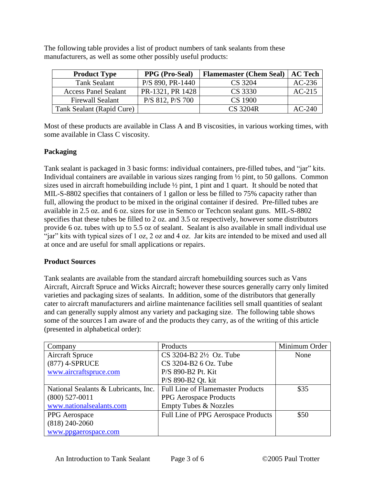The following table provides a list of product numbers of tank sealants from these manufacturers, as well as some other possibly useful products:

| <b>Product Type</b>         | <b>PPG</b> (Pro-Seal) | <b>Flamemaster (Chem Seal)</b> | AC Tech  |
|-----------------------------|-----------------------|--------------------------------|----------|
| Tank Sealant                | P/S 890, PR-1440      | CS 3204                        | $AC-236$ |
| <b>Access Panel Sealant</b> | PR-1321, PR 1428      | CS 3330                        | $AC-215$ |
| <b>Firewall Sealant</b>     | $P/S$ 812, $P/S$ 700  | CS 1900                        |          |
| Tank Sealant (Rapid Cure)   |                       | CS 3204R                       | $AC-240$ |

Most of these products are available in Class A and B viscosities, in various working times, with some available in Class C viscosity.

## **Packaging**

Tank sealant is packaged in 3 basic forms: individual containers, pre-filled tubes, and "jar" kits. Individual containers are available in various sizes ranging from ½ pint, to 50 gallons. Common sizes used in aircraft homebuilding include ½ pint, 1 pint and 1 quart. It should be noted that MIL-S-8802 specifies that containers of 1 gallon or less be filled to 75% capacity rather than full, allowing the product to be mixed in the original container if desired. Pre-filled tubes are available in 2.5 oz. and 6 oz. sizes for use in Semco or Techcon sealant guns. MIL-S-8802 specifies that these tubes be filled to 2 oz. and 3.5 oz respectively, however some distributors provide 6 oz. tubes with up to 5.5 oz of sealant. Sealant is also available in small individual use "jar" kits with typical sizes of 1 oz, 2 oz and 4 oz. Jar kits are intended to be mixed and used all at once and are useful for small applications or repairs.

### **Product Sources**

Tank sealants are available from the standard aircraft homebuilding sources such as Vans Aircraft, Aircraft Spruce and Wicks Aircraft; however these sources generally carry only limited varieties and packaging sizes of sealants. In addition, some of the distributors that generally cater to aircraft manufacturers and airline maintenance facilities sell small quantities of sealant and can generally supply almost any variety and packaging size. The following table shows some of the sources I am aware of and the products they carry, as of the writing of this article (presented in alphabetical order):

| Company                              | Products                                 | Minimum Order |
|--------------------------------------|------------------------------------------|---------------|
| <b>Aircraft Spruce</b>               | $CS$ 3204-B2 $2\frac{1}{2}$ Oz. Tube     | None          |
| (877) 4-SPRUCE                       | CS 3204-B2 6 Oz. Tube                    |               |
| www.aircraftspruce.com               | P/S 890-B2 Pt. Kit                       |               |
|                                      | P/S 890-B2 Qt. kit                       |               |
| National Sealants & Lubricants, Inc. | <b>Full Line of Flamemaster Products</b> | \$35          |
| $(800)$ 527-0011                     | PPG Aerospace Products                   |               |
| www.nationalsealants.com             | <b>Empty Tubes &amp; Nozzles</b>         |               |
| PPG Aerospace                        | Full Line of PPG Aerospace Products      | \$50          |
| $(818)$ 240-2060                     |                                          |               |
| www.ppgaerospace.com                 |                                          |               |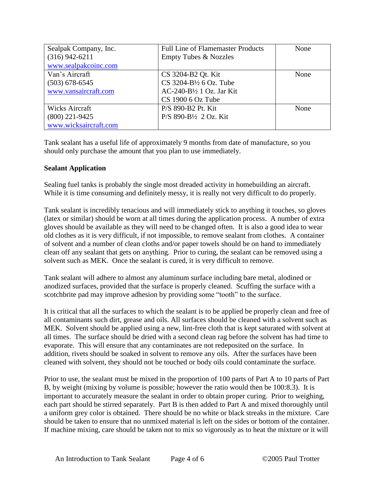| Sealpak Company, Inc. | <b>Full Line of Flamemaster Products</b> | None |
|-----------------------|------------------------------------------|------|
| $(316)$ 942-6211      | <b>Empty Tubes &amp; Nozzles</b>         |      |
| www.sealpakcoinc.com  |                                          |      |
| Van's Aircraft        | CS 3204-B2 Qt. Kit                       | None |
| $(503)$ 678-6545      | $CS$ 3204-B $\frac{1}{2}$ 6 Oz. Tube     |      |
| www.vansaircraft.com  | $AC-240-B\frac{1}{2}1$ Oz. Jar Kit       |      |
|                       | $CS$ 1900 6 Oz Tube                      |      |
| <b>Wicks Aircraft</b> | P/S 890-B2 Pt. Kit                       | None |
| $(800)$ 221-9425      | P/S 890-B½ 2 Oz. Kit                     |      |
| www.wicksaircraft.com |                                          |      |

Tank sealant has a useful life of approximately 9 months from date of manufacture, so you should only purchase the amount that you plan to use immediately.

### **Sealant Application**

Sealing fuel tanks is probably the single most dreaded activity in homebuilding an aircraft. While it is time consuming and definitely messy, it is really not very difficult to do properly.

Tank sealant is incredibly tenacious and will immediately stick to anything it touches, so gloves (latex or similar) should be worn at all times during the application process. A number of extra gloves should be available as they will need to be changed often. It is also a good idea to wear old clothes as it is very difficult, if not impossible, to remove sealant from clothes. A container of solvent and a number of clean cloths and/or paper towels should be on hand to immediately clean off any sealant that gets on anything. Prior to curing, the sealant can be removed using a solvent such as MEK. Once the sealant is cured, it is very difficult to remove.

Tank sealant will adhere to almost any aluminum surface including bare metal, alodined or anodized surfaces, provided that the surface is properly cleaned. Scuffing the surface with a scotchbrite pad may improve adhesion by providing some "tooth" to the surface.

It is critical that all the surfaces to which the sealant is to be applied be properly clean and free of all contaminants such dirt, grease and oils. All surfaces should be cleaned with a solvent such as MEK. Solvent should be applied using a new, lint-free cloth that is kept saturated with solvent at all times. The surface should be dried with a second clean rag before the solvent has had time to evaporate. This will ensure that any contaminates are not redeposited on the surface. In addition, rivets should be soaked in solvent to remove any oils. After the surfaces have been cleaned with solvent, they should not be touched or body oils could contaminate the surface.

Prior to use, the sealant must be mixed in the proportion of 100 parts of Part A to 10 parts of Part B, by weight (mixing by volume is possible; however the ratio would then be 100:8.3). It is important to accurately measure the sealant in order to obtain proper curing. Prior to weighing, each part should be stirred separately. Part B is then added to Part A and mixed thoroughly until a uniform grey color is obtained. There should be no white or black streaks in the mixture. Care should be taken to ensure that no unmixed material is left on the sides or bottom of the container. If machine mixing, care should be taken not to mix so vigorously as to heat the mixture or it will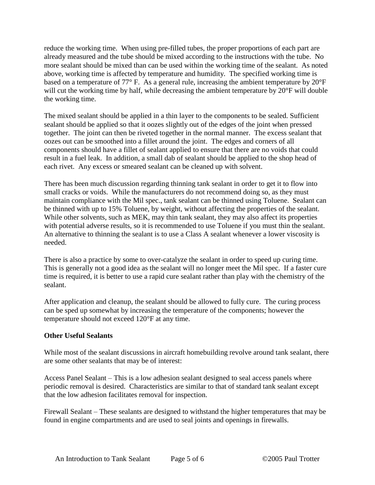reduce the working time. When using pre-filled tubes, the proper proportions of each part are already measured and the tube should be mixed according to the instructions with the tube. No more sealant should be mixed than can be used within the working time of the sealant. As noted above, working time is affected by temperature and humidity. The specified working time is based on a temperature of 77° F. As a general rule, increasing the ambient temperature by 20°F will cut the working time by half, while decreasing the ambient temperature by 20°F will double the working time.

The mixed sealant should be applied in a thin layer to the components to be sealed. Sufficient sealant should be applied so that it oozes slightly out of the edges of the joint when pressed together. The joint can then be riveted together in the normal manner. The excess sealant that oozes out can be smoothed into a fillet around the joint. The edges and corners of all components should have a fillet of sealant applied to ensure that there are no voids that could result in a fuel leak. In addition, a small dab of sealant should be applied to the shop head of each rivet. Any excess or smeared sealant can be cleaned up with solvent.

There has been much discussion regarding thinning tank sealant in order to get it to flow into small cracks or voids. While the manufacturers do not recommend doing so, as they must maintain compliance with the Mil spec., tank sealant can be thinned using Toluene. Sealant can be thinned with up to 15% Toluene, by weight, without affecting the properties of the sealant. While other solvents, such as MEK, may thin tank sealant, they may also affect its properties with potential adverse results, so it is recommended to use Toluene if you must thin the sealant. An alternative to thinning the sealant is to use a Class A sealant whenever a lower viscosity is needed.

There is also a practice by some to over-catalyze the sealant in order to speed up curing time. This is generally not a good idea as the sealant will no longer meet the Mil spec. If a faster cure time is required, it is better to use a rapid cure sealant rather than play with the chemistry of the sealant.

After application and cleanup, the sealant should be allowed to fully cure. The curing process can be sped up somewhat by increasing the temperature of the components; however the temperature should not exceed 120°F at any time.

### **Other Useful Sealants**

While most of the sealant discussions in aircraft homebuilding revolve around tank sealant, there are some other sealants that may be of interest:

Access Panel Sealant –This is a low adhesion sealant designed to seal access panels where periodic removal is desired. Characteristics are similar to that of standard tank sealant except that the low adhesion facilitates removal for inspection.

Firewall Sealant –These sealants are designed to withstand the higher temperatures that may be found in engine compartments and are used to seal joints and openings in firewalls.